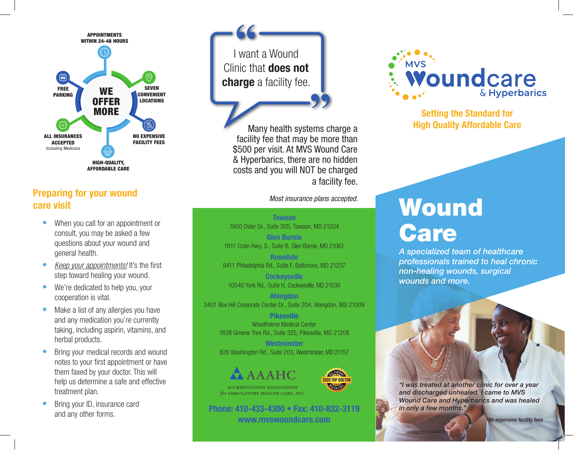

#### Preparing for your wound care visit

- When you call for an appointment or consult, you may be asked a few questions about your wound and general health.
- *Keep your appointments!* It's the first step toward healing your wound.
- We're dedicated to help you, your cooperation is vital.
- Make a list of any allergies you have and any medication you're currently taking, including aspirin, vitamins, and herbal products.
- Bring your medical records and wound notes to your first appointment or have them faxed by your doctor. This will help us determine a safe and effective treatment plan.
- Bring your ID, insurance card and any other forms.

**66**<br>I want a Wound **"** Clinic that does not charge a facility fee.

Many health systems charge a facility fee that may be more than \$500 per visit. At MVS Wound Care & Hyperbarics, there are no hidden costs and you will NOT be charged a facility fee.

*Most insurance plans accepted.*

**Towson** 7600 Osler Dr., Suite 305, Towson, MD 21204 Glen Burnie

1811 Crain Hwy. S., Suite B, Glen Burnie, MD 21061 Rosedale 9411 Philadelphia Rd., Suite F, Baltimore, MD 21237

**Cockeysville** 10540 York Rd., Suite H, Cockeysville, MD 21030

Abingdon 3401 Box Hill Corporate Center Dr., Suite 204, Abingdon, MD 21009

> Pikesville Woodholme Medical Center 1838 Greene Tree Rd., Suite 325, Pikesville, MD 21208

**Westminster** 





Phone: 410-433-4300 • Fax: 410-832-3119 www.mvswoundcare.com



Setting the Standard for High Quality Affordable Care

# **Wound** Care

*A specialized team of healthcare professionals trained to heal chronic non-healing wounds, surgical wounds and more.*